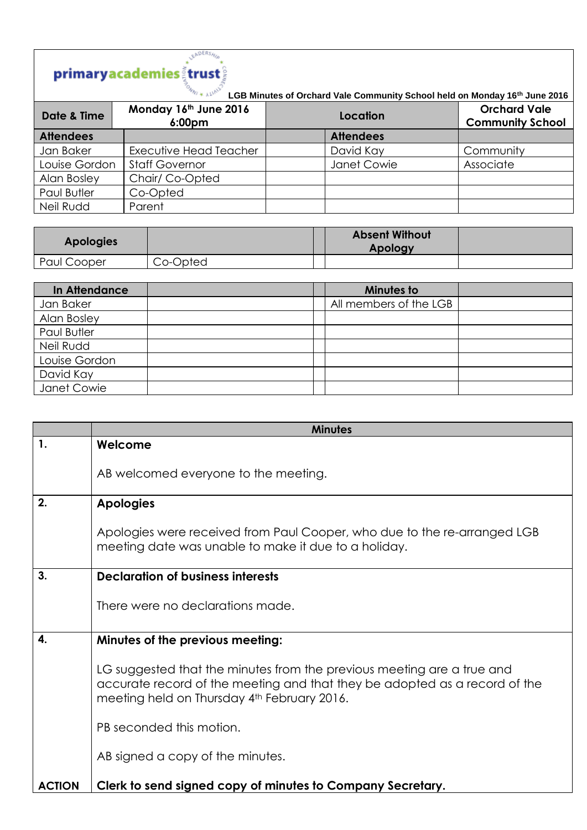## **EADERSHIP**

**LGB Minutes of Orchard Vale Community School held on Monday 16th June 2016**

| Date & Time      | Monday 16th June 2016<br>6:00 <sub>pm</sub> | Location         | <b>Orchard Vale</b><br><b>Community School</b> |
|------------------|---------------------------------------------|------------------|------------------------------------------------|
| <b>Attendees</b> |                                             | <b>Attendees</b> |                                                |
| Jan Baker        | <b>Executive Head Teacher</b>               | David Kay        | Community                                      |
| Louise Gordon    | <b>Staff Governor</b>                       | Janet Cowie      | Associate                                      |
| Alan Bosley      | Chair/Co-Opted                              |                  |                                                |
| Paul Butler      | Co-Opted                                    |                  |                                                |
| Neil Rudd        | Parent                                      |                  |                                                |

| <b>Apologies</b> |          | <b>Absent Without</b><br>Apology |  |
|------------------|----------|----------------------------------|--|
| Paul Cooper      | Co-Opted |                                  |  |

| In Attendance | Minutes to             |  |
|---------------|------------------------|--|
| Jan Baker     | All members of the LGB |  |
| Alan Bosley   |                        |  |
| Paul Butler   |                        |  |
| Neil Rudd     |                        |  |
| Louise Gordon |                        |  |
| David Kay     |                        |  |
| Janet Cowie   |                        |  |

|               | <b>Minutes</b>                                                                                                                                                                                      |
|---------------|-----------------------------------------------------------------------------------------------------------------------------------------------------------------------------------------------------|
| 1.            | Welcome                                                                                                                                                                                             |
|               | AB welcomed everyone to the meeting.                                                                                                                                                                |
| 2.            | <b>Apologies</b>                                                                                                                                                                                    |
|               | Apologies were received from Paul Cooper, who due to the re-arranged LGB<br>meeting date was unable to make it due to a holiday.                                                                    |
| 3.            | <b>Declaration of business interests</b>                                                                                                                                                            |
|               | There were no declarations made.                                                                                                                                                                    |
| $\mathbf{4}$  | Minutes of the previous meeting:                                                                                                                                                                    |
|               | LG suggested that the minutes from the previous meeting are a true and<br>accurate record of the meeting and that they be adopted as a record of the<br>meeting held on Thursday 4th February 2016. |
|               | PB seconded this motion.                                                                                                                                                                            |
|               | AB signed a copy of the minutes.                                                                                                                                                                    |
| <b>ACTION</b> | Clerk to send signed copy of minutes to Company Secretary.                                                                                                                                          |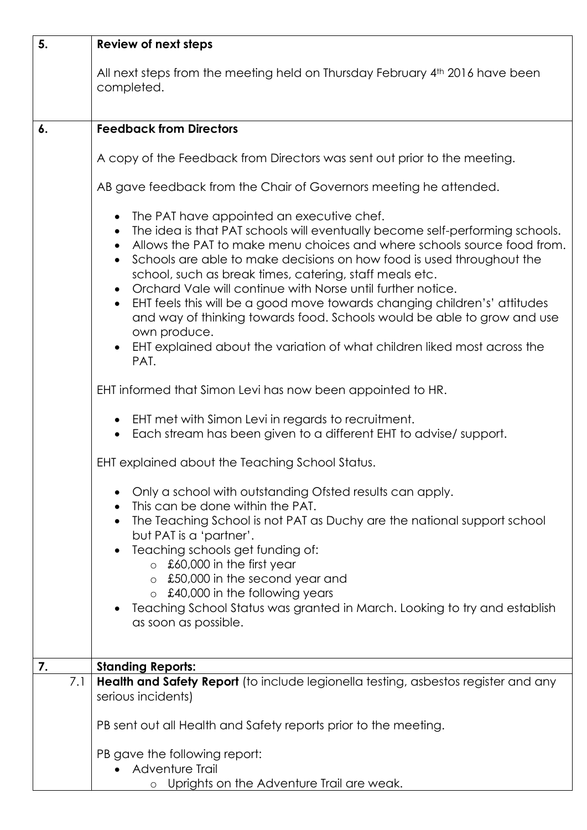| 5.  | <b>Review of next steps</b>                                                                                                                                                                                                                                                                                                                                                                                                                                                                                                                                                                                                                                                      |
|-----|----------------------------------------------------------------------------------------------------------------------------------------------------------------------------------------------------------------------------------------------------------------------------------------------------------------------------------------------------------------------------------------------------------------------------------------------------------------------------------------------------------------------------------------------------------------------------------------------------------------------------------------------------------------------------------|
|     | All next steps from the meeting held on Thursday February 4th 2016 have been<br>completed.                                                                                                                                                                                                                                                                                                                                                                                                                                                                                                                                                                                       |
| 6.  | <b>Feedback from Directors</b>                                                                                                                                                                                                                                                                                                                                                                                                                                                                                                                                                                                                                                                   |
|     | A copy of the Feedback from Directors was sent out prior to the meeting.                                                                                                                                                                                                                                                                                                                                                                                                                                                                                                                                                                                                         |
|     | AB gave feedback from the Chair of Governors meeting he attended.                                                                                                                                                                                                                                                                                                                                                                                                                                                                                                                                                                                                                |
|     | The PAT have appointed an executive chef.<br>$\bullet$<br>The idea is that PAT schools will eventually become self-performing schools.<br>Allows the PAT to make menu choices and where schools source food from.<br>Schools are able to make decisions on how food is used throughout the<br>school, such as break times, catering, staff meals etc.<br>Orchard Vale will continue with Norse until further notice.<br>EHT feels this will be a good move towards changing children's' attitudes<br>and way of thinking towards food. Schools would be able to grow and use<br>own produce.<br>EHT explained about the variation of what children liked most across the<br>PAT. |
|     | EHT informed that Simon Levi has now been appointed to HR.                                                                                                                                                                                                                                                                                                                                                                                                                                                                                                                                                                                                                       |
|     | EHT met with Simon Levi in regards to recruitment.<br>Each stream has been given to a different EHT to advise/ support.                                                                                                                                                                                                                                                                                                                                                                                                                                                                                                                                                          |
|     | EHT explained about the Teaching School Status.                                                                                                                                                                                                                                                                                                                                                                                                                                                                                                                                                                                                                                  |
|     | Only a school with outstanding Ofsted results can apply.<br>This can be done within the PAT.<br>The Teaching School is not PAT as Duchy are the national support school<br>but PAT is a 'partner'.<br>Teaching schools get funding of:<br>£60,000 in the first year<br>$\circ$                                                                                                                                                                                                                                                                                                                                                                                                   |
|     | o £50,000 in the second year and<br>$\circ$ £40,000 in the following years<br>Teaching School Status was granted in March. Looking to try and establish<br>as soon as possible.                                                                                                                                                                                                                                                                                                                                                                                                                                                                                                  |
| 7.  | <b>Standing Reports:</b>                                                                                                                                                                                                                                                                                                                                                                                                                                                                                                                                                                                                                                                         |
| 7.1 | Health and Safety Report (to include legionella testing, asbestos register and any<br>serious incidents)                                                                                                                                                                                                                                                                                                                                                                                                                                                                                                                                                                         |
|     | PB sent out all Health and Safety reports prior to the meeting.                                                                                                                                                                                                                                                                                                                                                                                                                                                                                                                                                                                                                  |
|     | PB gave the following report:<br>Adventure Trail<br>o Uprights on the Adventure Trail are weak.                                                                                                                                                                                                                                                                                                                                                                                                                                                                                                                                                                                  |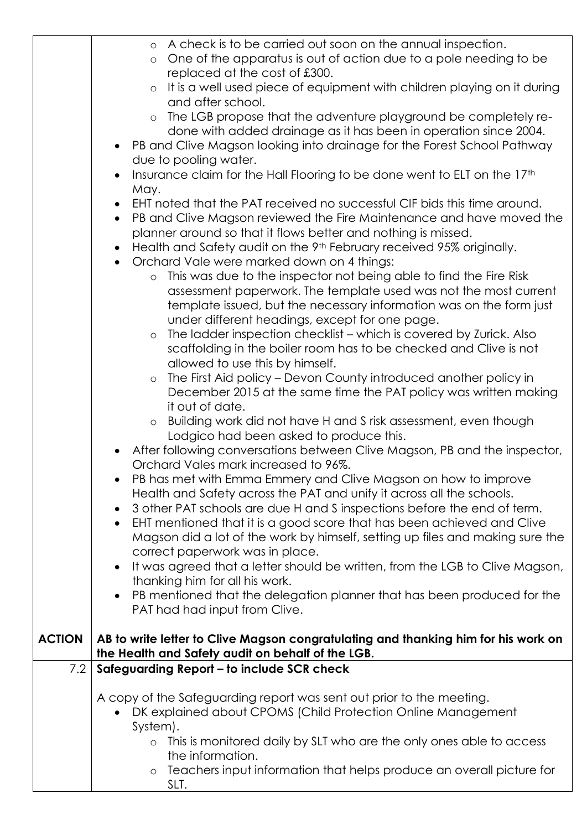|               | o A check is to be carried out soon on the annual inspection.                                                                           |
|---------------|-----------------------------------------------------------------------------------------------------------------------------------------|
|               | One of the apparatus is out of action due to a pole needing to be<br>$\circ$                                                            |
|               | replaced at the cost of £300.                                                                                                           |
|               | It is a well used piece of equipment with children playing on it during<br>$\circ$                                                      |
|               | and after school.                                                                                                                       |
|               | The LGB propose that the adventure playground be completely re-<br>$\circ$                                                              |
|               | done with added drainage as it has been in operation since 2004.                                                                        |
|               | PB and Clive Magson looking into drainage for the Forest School Pathway                                                                 |
|               | due to pooling water.                                                                                                                   |
|               | Insurance claim for the Hall Flooring to be done went to ELT on the 17th                                                                |
|               |                                                                                                                                         |
|               | May.<br>EHT noted that the PAT received no successful CIF bids this time around.                                                        |
|               |                                                                                                                                         |
|               | PB and Clive Magson reviewed the Fire Maintenance and have moved the<br>$\bullet$                                                       |
|               | planner around so that it flows better and nothing is missed.                                                                           |
|               | Health and Safety audit on the 9th February received 95% originally.                                                                    |
|               | Orchard Vale were marked down on 4 things:<br>$\bullet$                                                                                 |
|               | This was due to the inspector not being able to find the Fire Risk<br>$\circ$                                                           |
|               | assessment paperwork. The template used was not the most current                                                                        |
|               | template issued, but the necessary information was on the form just                                                                     |
|               | under different headings, except for one page.                                                                                          |
|               | The ladder inspection checklist - which is covered by Zurick. Also<br>$\circ$                                                           |
|               | scaffolding in the boiler room has to be checked and Clive is not                                                                       |
|               | allowed to use this by himself.                                                                                                         |
|               | The First Aid policy – Devon County introduced another policy in<br>$\circ$                                                             |
|               | December 2015 at the same time the PAT policy was written making                                                                        |
|               | it out of date.                                                                                                                         |
|               | Building work did not have H and S risk assessment, even though<br>$\circ$                                                              |
|               | Lodgico had been asked to produce this.                                                                                                 |
|               | After following conversations between Clive Magson, PB and the inspector,                                                               |
|               | Orchard Vales mark increased to 96%.                                                                                                    |
|               | PB has met with Emma Emmery and Clive Magson on how to improve                                                                          |
|               | Health and Safety across the PAT and unify it across all the schools.                                                                   |
|               | 3 other PAT schools are due H and S inspections before the end of term.                                                                 |
|               | EHT mentioned that it is a good score that has been achieved and Clive                                                                  |
|               | Magson did a lot of the work by himself, setting up files and making sure the                                                           |
|               |                                                                                                                                         |
|               | correct paperwork was in place.                                                                                                         |
|               | It was agreed that a letter should be written, from the LGB to Clive Magson,                                                            |
|               | thanking him for all his work.                                                                                                          |
|               | PB mentioned that the delegation planner that has been produced for the                                                                 |
|               | PAT had had input from Clive.                                                                                                           |
| <b>ACTION</b> |                                                                                                                                         |
|               | AB to write letter to Clive Magson congratulating and thanking him for his work on<br>the Health and Safety audit on behalf of the LGB. |
| 7.2           | Safeguarding Report – to include SCR check                                                                                              |
|               |                                                                                                                                         |
|               | A copy of the Safeguarding report was sent out prior to the meeting.                                                                    |
|               | DK explained about CPOMS (Child Protection Online Management                                                                            |
|               | System).                                                                                                                                |
|               | This is monitored daily by SLT who are the only ones able to access<br>$\circ$                                                          |
|               | the information.                                                                                                                        |
|               | Teachers input information that helps produce an overall picture for<br>$\circ$                                                         |
|               | SLT.                                                                                                                                    |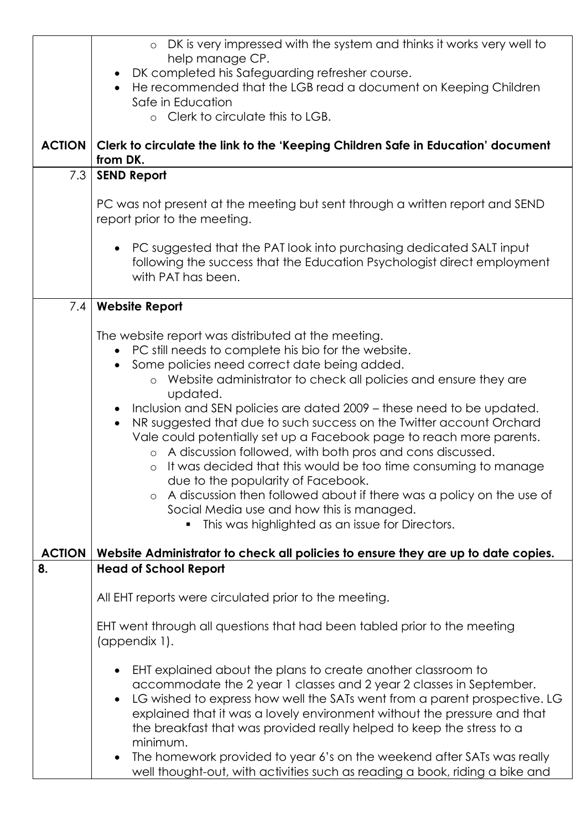|               | DK is very impressed with the system and thinks it works very well to<br>$\circ$<br>help manage CP.<br>DK completed his Safeguarding refresher course.<br>He recommended that the LGB read a document on Keeping Children                                                                                                                                                                                                                                                                                                                                                                                                                                                                                                                                                                                                                                                                                                         |  |
|---------------|-----------------------------------------------------------------------------------------------------------------------------------------------------------------------------------------------------------------------------------------------------------------------------------------------------------------------------------------------------------------------------------------------------------------------------------------------------------------------------------------------------------------------------------------------------------------------------------------------------------------------------------------------------------------------------------------------------------------------------------------------------------------------------------------------------------------------------------------------------------------------------------------------------------------------------------|--|
|               | Safe in Education<br>o Clerk to circulate this to LGB.                                                                                                                                                                                                                                                                                                                                                                                                                                                                                                                                                                                                                                                                                                                                                                                                                                                                            |  |
| <b>ACTION</b> | Clerk to circulate the link to the 'Keeping Children Safe in Education' document<br>from DK.                                                                                                                                                                                                                                                                                                                                                                                                                                                                                                                                                                                                                                                                                                                                                                                                                                      |  |
| 7.3           | <b>SEND Report</b>                                                                                                                                                                                                                                                                                                                                                                                                                                                                                                                                                                                                                                                                                                                                                                                                                                                                                                                |  |
|               | PC was not present at the meeting but sent through a written report and SEND<br>report prior to the meeting.                                                                                                                                                                                                                                                                                                                                                                                                                                                                                                                                                                                                                                                                                                                                                                                                                      |  |
|               | PC suggested that the PAT look into purchasing dedicated SALT input<br>following the success that the Education Psychologist direct employment<br>with PAT has been.                                                                                                                                                                                                                                                                                                                                                                                                                                                                                                                                                                                                                                                                                                                                                              |  |
| 7.4           | <b>Website Report</b>                                                                                                                                                                                                                                                                                                                                                                                                                                                                                                                                                                                                                                                                                                                                                                                                                                                                                                             |  |
| <b>ACTION</b> | The website report was distributed at the meeting.<br>PC still needs to complete his bio for the website.<br>Some policies need correct date being added.<br>o Website administrator to check all policies and ensure they are<br>updated.<br>Inclusion and SEN policies are dated 2009 – these need to be updated.<br>NR suggested that due to such success on the Twitter account Orchard<br>$\bullet$<br>Vale could potentially set up a Facebook page to reach more parents.<br>o A discussion followed, with both pros and cons discussed.<br>o It was decided that this would be too time consuming to manage<br>due to the popularity of Facebook.<br>A discussion then followed about if there was a policy on the use of<br>$\circ$<br>Social Media use and how this is managed.<br>This was highlighted as an issue for Directors.<br>Website Administrator to check all policies to ensure they are up to date copies. |  |
| 8.            | <b>Head of School Report</b>                                                                                                                                                                                                                                                                                                                                                                                                                                                                                                                                                                                                                                                                                                                                                                                                                                                                                                      |  |
|               | All EHT reports were circulated prior to the meeting.                                                                                                                                                                                                                                                                                                                                                                                                                                                                                                                                                                                                                                                                                                                                                                                                                                                                             |  |
|               | EHT went through all questions that had been tabled prior to the meeting<br>(appendix 1).                                                                                                                                                                                                                                                                                                                                                                                                                                                                                                                                                                                                                                                                                                                                                                                                                                         |  |
|               | EHT explained about the plans to create another classroom to<br>accommodate the 2 year 1 classes and 2 year 2 classes in September.<br>LG wished to express how well the SATs went from a parent prospective. LG<br>explained that it was a lovely environment without the pressure and that<br>the breakfast that was provided really helped to keep the stress to a<br>minimum.<br>The homework provided to year 6's on the weekend after SATs was really<br>well thought-out, with activities such as reading a book, riding a bike and                                                                                                                                                                                                                                                                                                                                                                                        |  |